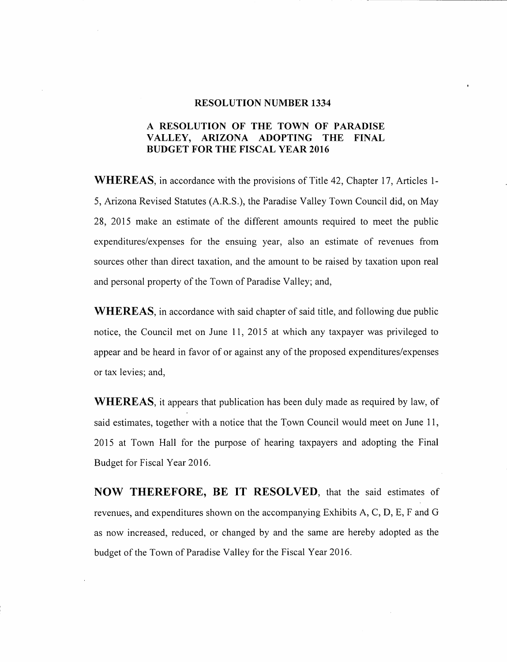#### RESOLUTION NUMBER 1334

## A RESOLUTION OF THE TOWN OF PARADISE VALLEY, ARIZONA ADOPTING THE FINAL BUDGET FOR THE FISCAL YEAR 2016

WHEREAS, in accordance with the provisions of Title 42, Chapter 17, Articles 1-5, Arizona Revised Statutes (A.R.S.), the Paradise Valley Town Council did, on May 28, 2015 make an estimate of the different amounts required to meet the public expenditures/expenses for the ensuing year, also an estimate of revenues from sources other than direct taxation, and the amount to be raised by taxation upon real and personal property of the Town of Paradise Valley; and,

WHEREAS, in accordance with said chapter of said title, and following due public notice, the Council met on June 11, 2015 at which any taxpayer was privileged to appear and be heard in favor of or against any of the proposed expenditures/expenses or tax levies; and,

WHEREAS, it appears that publication has been duly made as required by law, of said estimates, together with a notice that the Town Council would meet on June 11, 2015 at Town Hall for the purpose of hearing taxpayers and adopting the Final Budget for Fiscal Year 2016.

NOW THEREFORE, BE **IT** RESOLVED, that the said estimates of revenues, and expenditures shown on the accompanying Exhibits A, C, D, E, F and G as now increased, reduced, or changed by and the same are hereby adopted as the budget of the Town of Paradise Valley for the Fiscal Year 2016.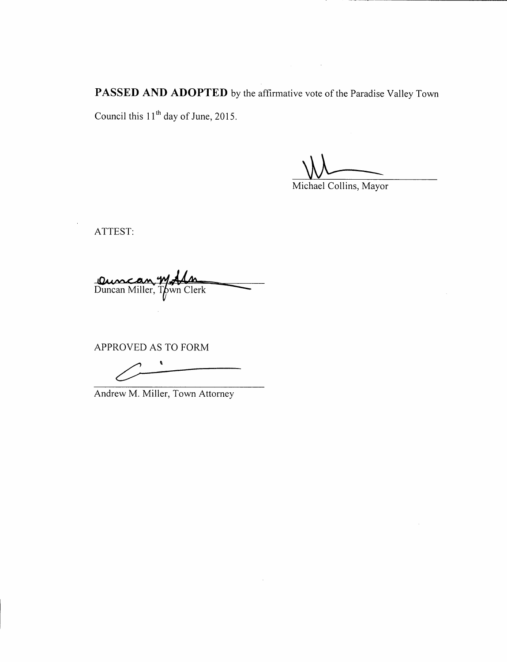**PASSED AND ADOPTED** by the affirmative vote of the Paradise Valley Town Council this **11** th day of June, 2015.

**\\\** 

Michael Collins, Mayor

ATTEST:

Duncan W.Ala

APPROVED AS TO FORM

 $\pmb{\ell}$  $\overline{\mathscr{O}}$   $\overline{\phantom{a}}$ 

Andrew M. Miller, Town Attorney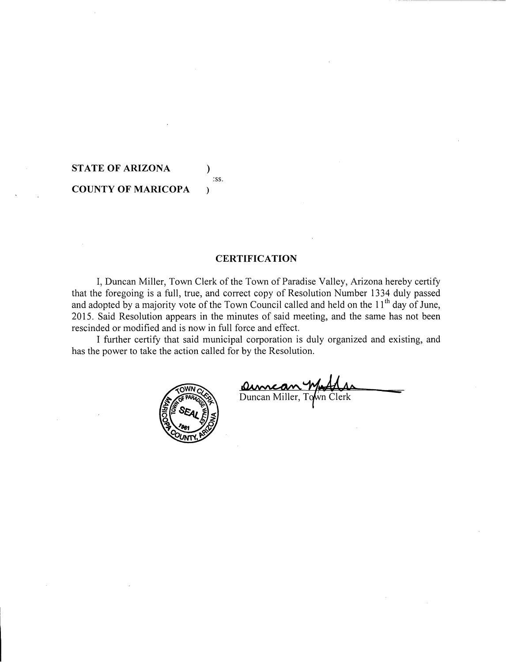# **STATE OF ARIZONA ) COUNTY OF MARICOPA**

## **CERTIFICATION**

:ss.

 $\lambda$ 

I, Duncan Miller, Town Clerk of the Town of Paradise Valley, Arizona hereby certify that the foregoing is a full, true, and correct copy of Resolution Number 1334 duly passed and adopted by a majority vote of the Town Council called and held on the 11<sup>th</sup> day of June, 2015. Said Resolution appears in the minutes of said meeting, and the same has not been rescinded or modified and is now in full force and effect.

I further certify that said municipal corporation is duly organized and existing, and has the power to take the action called for by the Resolution.



<u>Oumcan Wight</u>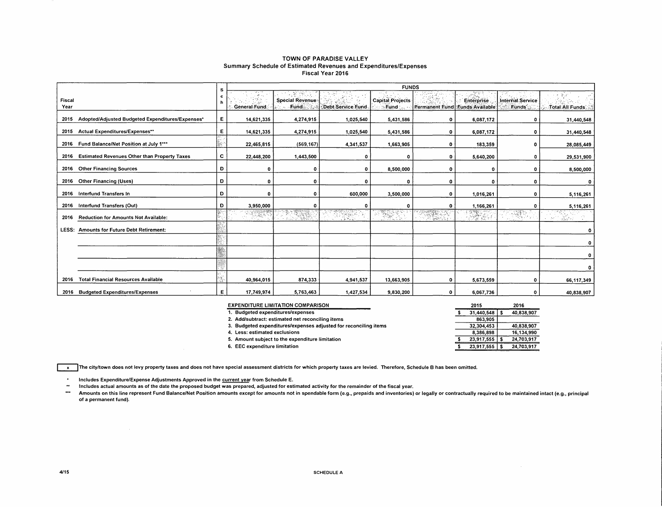#### TOWN OF PARADISE VALLEY Summary Schedule of Estimated Revenues and Expenditures/Expenses Fiscal Year 2016

|                |                                                     | s  | <b>FUNDS</b>                               |                                                      |                                       |                                    |                                   |                  |                                        |                           |  |  |  |  |  |
|----------------|-----------------------------------------------------|----|--------------------------------------------|------------------------------------------------------|---------------------------------------|------------------------------------|-----------------------------------|------------------|----------------------------------------|---------------------------|--|--|--|--|--|
| Fiscal<br>Year |                                                     | c  | erika.<br>Kabupaten<br><b>General Fund</b> | Special Revenue:<br>Fund Sto                         | પેન્ટર ઇન્ડેરિયર<br>Debt Service Fund | <b>Capital Projects</b><br>Fund S. | Permanent Fund Funds Available    | Enterprise       | Internal Service<br>Funds <sup>-</sup> | Total All Funds           |  |  |  |  |  |
| 2015           | Adopted/Adjusted Budgeted Expenditures/Expenses*    | E. | 14,621,335                                 | 4,274,915                                            | 1,025,540                             | 5,431,586                          | $\mathbf{o}$                      | 6,087,172        | 0                                      | 31,440,548                |  |  |  |  |  |
| 2015           | <b>Actual Expenditures/Expenses**</b>               | E. | 14,621,335                                 | 4,274,915                                            | 1,025,540                             | 5,431,586                          | $\mathbf 0$                       | 6,087,172        | 0                                      | 31,440.548                |  |  |  |  |  |
|                | 2016 Fund Balance/Net Position at July 1***         |    | 22,465,815                                 | (569, 167)                                           | 4,341,537                             | 1,663,905                          | 0                                 | 183,359          | 0                                      | 28,085,449                |  |  |  |  |  |
| 2016           | <b>Estimated Revenues Other than Property Taxes</b> | c. | 22,448,200                                 | 1,443,500                                            | ٥                                     |                                    | $\Omega$                          | 5,640,200        | 0                                      | 29,531,900                |  |  |  |  |  |
| 2016           | <b>Other Financing Sources</b>                      | Ð  | o                                          | o                                                    | 0                                     | 8,500,000                          | O                                 | $\mathbf 0$      | 0                                      | 8,500,000                 |  |  |  |  |  |
|                | 2016 Other Financing (Uses)                         | Ð  | $\Omega$                                   | 0                                                    | $\Omega$                              |                                    | O                                 | $\Omega$         | 0                                      |                           |  |  |  |  |  |
| 2016           | Interfund Transfers In                              | D  | 0                                          | o                                                    | 600,000                               | 3,500,000                          | $\mathbf 0$                       | 1.016.261        | 0                                      | 5,116,261                 |  |  |  |  |  |
| 2016           | Interfund Transfers (Out)                           | D  | 3,950,000                                  |                                                      | 0                                     |                                    | n                                 | 1,166,261        | o                                      | 5,116,261                 |  |  |  |  |  |
| 2016           | Reduction for Amounts Not Available:                |    | <b>RESERVE</b>                             | <u>Electronic Company</u><br>u Subsi<br><b>RANGE</b> | 1932.<br>Digwyddiadau<br>745          | ERRETT                             | <u>martin ya</u><br>(1984)<br>사용자 | $\mathbb{Z}^{n}$ | and a                                  | w<br>$\sim 8\%$<br>distri |  |  |  |  |  |
| LESS:          | <b>Amounts for Future Debt Retirement:</b>          |    |                                            |                                                      |                                       |                                    |                                   |                  |                                        | ٥                         |  |  |  |  |  |
|                |                                                     |    |                                            |                                                      |                                       |                                    |                                   |                  |                                        | 0                         |  |  |  |  |  |
|                |                                                     |    |                                            |                                                      |                                       |                                    |                                   |                  |                                        | ٥                         |  |  |  |  |  |
|                |                                                     |    |                                            |                                                      |                                       |                                    |                                   |                  |                                        | ٥                         |  |  |  |  |  |
| 2016           | <b>Total Financial Resources Available</b>          |    | 40,964,015                                 | 874,333                                              | 4,941,537                             | 13,663,905                         | 0                                 | 5,673,559        | 0                                      | 66,117,349                |  |  |  |  |  |
|                | 2016 Budgeted Expenditures/Expenses                 | E  | 17,749,974                                 | 5,763,463                                            | 1,427,534                             | 9,830,200                          | $\mathbf{o}$                      | 6,067,736        | 0                                      | 40,838,907                |  |  |  |  |  |

| <b>EXPENDITURE LIMITATION COMPARISON</b>                         | 2015       |  |            |  |  |  |
|------------------------------------------------------------------|------------|--|------------|--|--|--|
| 1. Budgeted expenditures/expenses                                | 31.440.548 |  | 40,838,907 |  |  |  |
| 2. Add/subtract: estimated net reconciling items                 | 863.905    |  |            |  |  |  |
| 3. Budgeted expenditures/expenses adjusted for reconciling items | 32.304.453 |  | 40,838,907 |  |  |  |
| 4. Less: estimated exclusions                                    | 8.386.898  |  | 16.134.990 |  |  |  |
| 5. Amount subject to the expenditure limitation                  | 23.917.555 |  | 24.703.917 |  |  |  |
| 6. EEC expenditure limitation                                    | 23,917,555 |  | 24,703,917 |  |  |  |

The city/town does not levy property taxes and does not have special assessment districts for which property taxes are levied. Therefore, Schedule B has been omitted.

 $\star$ Includes Expenditure/Expense Adjustments Approved in the current year from Schedule E.

 $\bullet\bullet$ Includes actual amounts as of the date the proposed budget was prepared, adjusted for estimated activity for the remainder of the fiscal year.

 $\mathbf{m}$ Amounts on this line represent Fund Balance/Net Position amounts except for amounts not in spendable form (e.g., prepaids and inventories) or legally or contractually required to be maintained intact (e.g., principal of a permanent fund).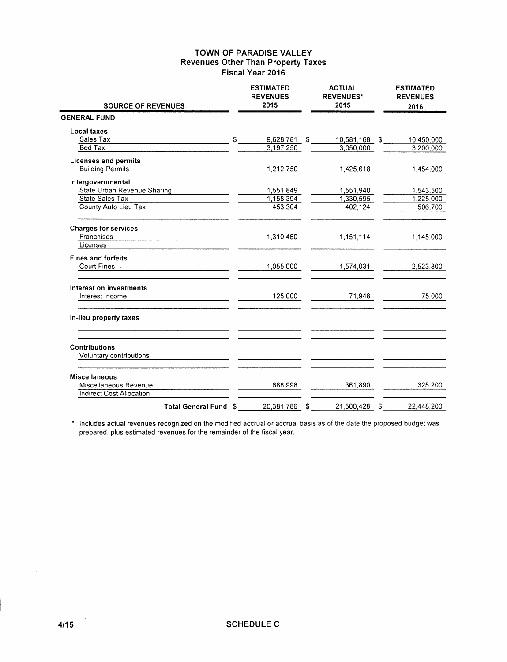| <b>SOURCE OF REVENUES</b>                       | <b>ESTIMATED</b><br><b>REVENUES</b><br>2015 | <b>ACTUAL</b><br><b>REVENUES*</b><br>2015 | <b>ESTIMATED</b><br><b>REVENUES</b><br>2016 |  |
|-------------------------------------------------|---------------------------------------------|-------------------------------------------|---------------------------------------------|--|
| <b>GENERAL FUND</b>                             |                                             |                                           |                                             |  |
| Local taxes                                     |                                             |                                           |                                             |  |
| Sales Tax                                       | \$<br>9,628,781                             | \$<br>10,581,168                          | \$<br>10,450,000                            |  |
| <b>Bed Tax</b>                                  | 3,197,250                                   | 3,050,000                                 | 3,200,000                                   |  |
| <b>Licenses and permits</b>                     |                                             |                                           |                                             |  |
| <b>Building Permits</b>                         | 1,212,750                                   | 1,425,618                                 | 1,454,000                                   |  |
| Intergovernmental                               |                                             |                                           |                                             |  |
| State Urban Revenue Sharing                     | 1,551,849                                   | 1,551,940                                 | 1,543,500                                   |  |
| State Sales Tax                                 | 1,158,394                                   | 1,330,595                                 | 1,225,000                                   |  |
| County Auto Lieu Tax                            | 453.304                                     | 402,124                                   | 506,700                                     |  |
| <b>Charges for services</b>                     |                                             |                                           |                                             |  |
| Franchises                                      | 1,310,460                                   | 1,151,114                                 | 1,145,000                                   |  |
| Licenses                                        |                                             |                                           |                                             |  |
| <b>Fines and forfeits</b>                       |                                             |                                           |                                             |  |
| Court Fines .                                   | 1,055,000                                   | 1,574,031                                 | 2,523,800                                   |  |
| Interest on investments                         |                                             |                                           |                                             |  |
| Interest Income                                 | 125,000                                     | 71,948                                    | 75,000                                      |  |
| In-lieu property taxes                          |                                             |                                           |                                             |  |
| <b>Contributions</b><br>Voluntary contributions |                                             |                                           |                                             |  |
|                                                 |                                             |                                           |                                             |  |
| <b>Miscellaneous</b>                            |                                             |                                           |                                             |  |
| Miscellaneous Revenue                           | 688,998                                     | 361,890                                   | 325,200                                     |  |
| <b>Indirect Cost Allocation</b>                 |                                             |                                           |                                             |  |
| Total General Fund \$                           | 20.381.786                                  | \$<br>21.500.428                          | \$<br>22.448.200                            |  |

\* Includes actual revenues recognized on the modified accrual or accrual basis as of the date the proposed budget was prepared, plus estimated revenues for the remainder of the fiscal year.

 $\hat{\mathcal{A}}(\hat{\mathcal{A}})$ 

 $\beta$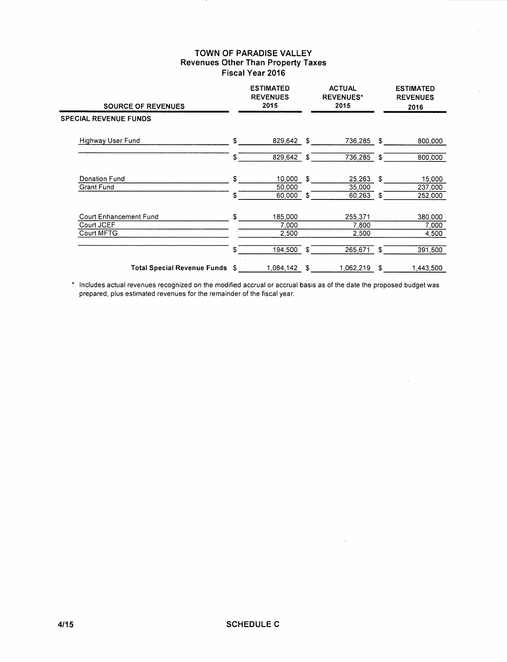| <b>SOURCE OF REVENUES</b>          |     | <b>ESTIMATED</b><br><b>REVENUES</b><br>2015 |     | <b>ACTUAL</b><br><b>REVENUES*</b><br>2015 |      | <b>ESTIMATED</b><br><b>REVENUES</b><br>2016 |
|------------------------------------|-----|---------------------------------------------|-----|-------------------------------------------|------|---------------------------------------------|
| <b>SPECIAL REVENUE FUNDS</b>       |     |                                             |     |                                           |      |                                             |
| Highway User Fund                  | \$  | 829,642                                     | -\$ | 736,285 \$                                |      | 800,000                                     |
|                                    | \$  | 829,642 \$                                  |     | 736,285                                   | - \$ | 800,000                                     |
| Donation Fund                      | \$  | 10,000                                      | £.  | 25,263                                    | \$   | 15,000                                      |
| <b>Grant Fund</b>                  | \$  | 50,000<br>60,000                            | \$  | 35,000<br>60,263                          | S.   | 237,000<br>252,000                          |
| Court Enhancement Fund             | \$  | 185,000                                     |     | 255,371                                   |      | 380,000                                     |
| Court JCEF<br>Court MFTG           |     | 7,000<br>2,500                              |     | 7,800<br>2,500                            |      | 7,000<br>4,500                              |
|                                    | \$  | 194,500                                     | \$  | 265,671                                   | \$   | 391,500                                     |
| <b>Total Special Revenue Funds</b> | \$. | 1,084,142                                   | \$  | 1.062.219                                 | S    | 1.443.500                                   |

\* Includes actual revenues recognized on the modified accrual or accrual basis as of the date the proposed budget was prepared, plus estimated revenues for the remainder of the fiscal year.

 $\bar{\lambda}$ 

 $\mathcal{L}$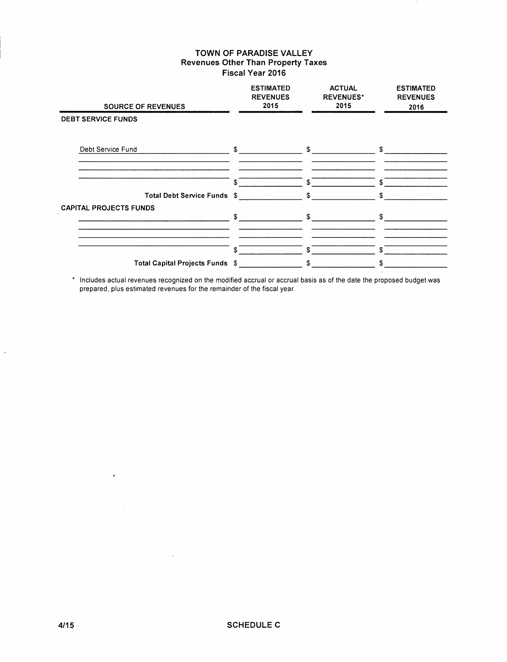| <b>SOURCE OF REVENUES</b>       |              | <b>ESTIMATED</b><br><b>REVENUES</b><br>2015 |                    | <b>ACTUAL</b><br><b>REVENUES*</b><br>2015 |            | <b>ESTIMATED</b><br><b>REVENUES</b><br>2016 |
|---------------------------------|--------------|---------------------------------------------|--------------------|-------------------------------------------|------------|---------------------------------------------|
| <b>DEBT SERVICE FUNDS</b>       |              |                                             |                    |                                           |            |                                             |
| Debt Service Fund               | $\mathbf{s}$ |                                             | $\mathbb{S}$       |                                           | \$         |                                             |
| Total Debt Service Funds \$     | \$           |                                             | \$<br>$\mathbf{s}$ |                                           | \$<br>\$   |                                             |
| <b>CAPITAL PROJECTS FUNDS</b>   | \$           |                                             | \$                 |                                           | s.         |                                             |
| Total Capital Projects Funds \$ | \$           |                                             | \$<br>\$           |                                           | \$.<br>\$. |                                             |

\* Includes actual revenues recognized on the modified accrual or accrual basis as of the date the proposed budget was prepared, plus estimated revenues for the remainder of the fiscal year.

 $\cdot$ 

 $\sim$ 

 $\overline{\phantom{a}}$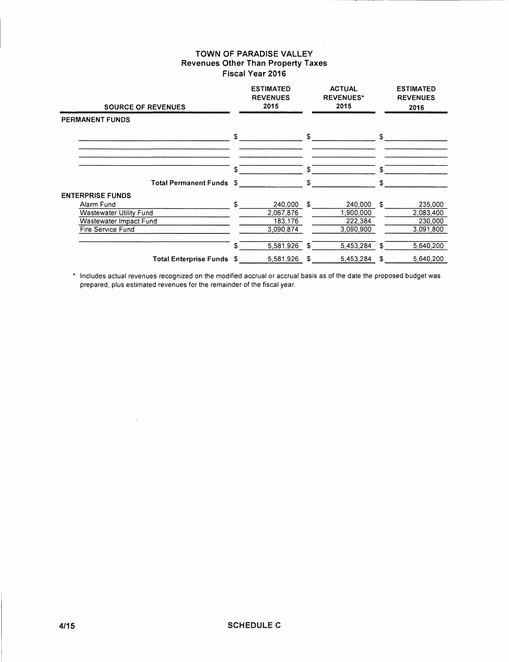$\mathcal{A}^{\mathcal{A}}$ 

| <b>SOURCE OF REVENUES</b><br>PERMANENT FUNDS                                                |     | <b>ESTIMATED</b><br><b>REVENUES</b><br>2015  |    | <b>ACTUAL</b><br><b>REVENUES*</b><br>2015    | <b>ESTIMATED</b><br><b>REVENUES</b><br>2016        |
|---------------------------------------------------------------------------------------------|-----|----------------------------------------------|----|----------------------------------------------|----------------------------------------------------|
|                                                                                             |     |                                              |    |                                              |                                                    |
|                                                                                             | \$  |                                              | \$ |                                              | \$                                                 |
|                                                                                             | £   |                                              | \$ |                                              | \$                                                 |
| <b>Total Permanent Funds \$</b>                                                             |     |                                              | \$ |                                              | \$                                                 |
| <b>ENTERPRISE FUNDS</b>                                                                     |     |                                              |    |                                              |                                                    |
| Alarm Fund<br><b>Wastewater Utility Fund</b><br>Wastewater Impact Fund<br>Fire Service Fund | \$. | 240,000<br>2,067,876<br>183,176<br>3.090.874 | S  | 240,000<br>1,900,000<br>222,384<br>3,090,900 | \$<br>235,000<br>2,083,400<br>230,000<br>3.091.800 |
|                                                                                             | \$  | 5,581,926                                    | \$ | 5,453,284                                    | \$<br>5.640,200                                    |
| Total Enterprise Funds \$                                                                   |     | 5,581,926                                    | \$ | 5,453,284                                    | \$<br>5,640,200                                    |

\* Includes actual revenues recognized on the modified accrual or accrual basis as of the date the proposed budget was prepared, plus estimated revenues for the remainder of the fiscal year.

 $\mathcal{L}_{\rm{max}}$ 

 $\sim$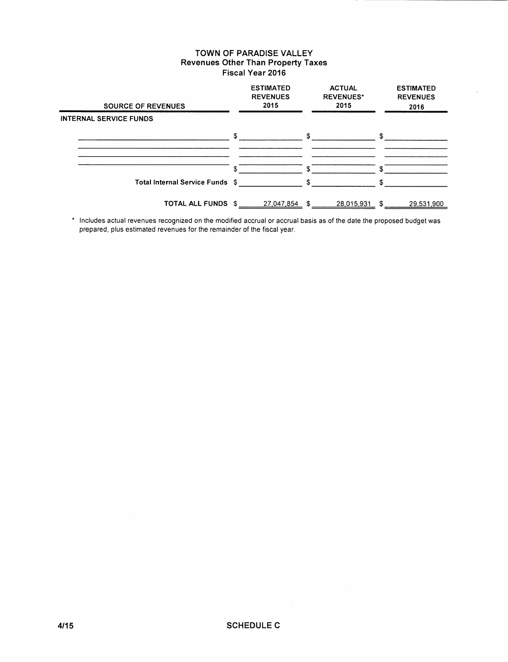| <b>SOURCE OF REVENUES</b>       |              | <b>ESTIMATED</b><br><b>REVENUES</b><br>2015 |               | <b>ACTUAL</b><br><b>REVENUES*</b><br>2015 |    | <b>ESTIMATED</b><br><b>REVENUES</b><br>2016 |
|---------------------------------|--------------|---------------------------------------------|---------------|-------------------------------------------|----|---------------------------------------------|
| <b>INTERNAL SERVICE FUNDS</b>   |              |                                             |               |                                           |    |                                             |
|                                 | $\mathbb{S}$ |                                             | S.            |                                           | £. |                                             |
|                                 |              |                                             |               |                                           |    |                                             |
|                                 | S.           |                                             |               |                                           |    |                                             |
| Total Internal Service Funds \$ |              |                                             | $\mathcal{F}$ |                                           | ፍ  |                                             |
| TOTAL ALL FUNDS                 | \$           | 27,047,854                                  | \$            | 28,015,931                                | \$ | 29,531,900                                  |

\* Includes actual revenues recognized on the modified accrual or accrual basis as of the date the proposed budget was prepared, plus estimated revenues for the remainder of the fiscal year.

 $\mathcal{A}^{\mathcal{A}}$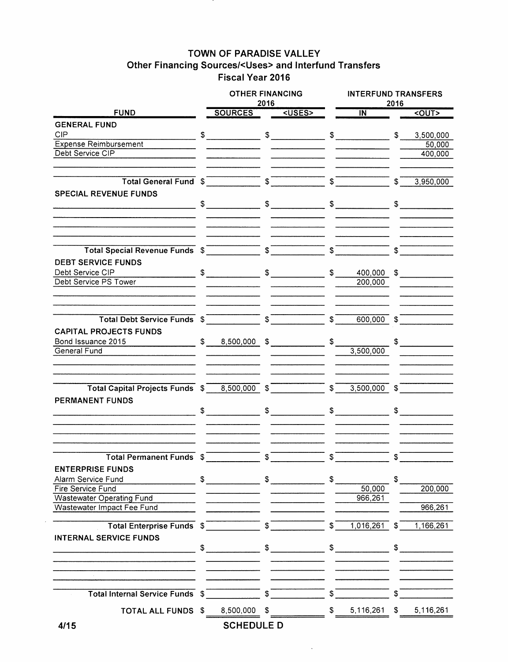# TOWN OF PARADISE VALLEY Other Financing Sources/<Uses> and Interfund Transfers Fiscal Year 2016

|                                                                |               | <b>OTHER FINANCING</b>                                                                                                                                                                                                                                                                                                                                                                                                                                          | 2016 |                                 | <b>INTERFUND TRANSFERS</b><br>2016 |                                                         |               |                               |  |  |  |
|----------------------------------------------------------------|---------------|-----------------------------------------------------------------------------------------------------------------------------------------------------------------------------------------------------------------------------------------------------------------------------------------------------------------------------------------------------------------------------------------------------------------------------------------------------------------|------|---------------------------------|------------------------------------|---------------------------------------------------------|---------------|-------------------------------|--|--|--|
| <b>FUND</b>                                                    |               | SOURCES <uses></uses>                                                                                                                                                                                                                                                                                                                                                                                                                                           |      |                                 |                                    | $\overline{N}$                                          |               | <out></out>                   |  |  |  |
| <b>GENERAL FUND</b>                                            |               |                                                                                                                                                                                                                                                                                                                                                                                                                                                                 |      |                                 |                                    |                                                         |               |                               |  |  |  |
| <b>CIP</b>                                                     |               | $$\overbrace{\hspace{2.5cm}}$                                                                                                                                                                                                                                                                                                                                                                                                                                   |      |                                 |                                    | $\mathfrak s$ $\mathfrak s$                             | \$            | 3,500,000                     |  |  |  |
| <b>Expense Reimbursement</b>                                   |               |                                                                                                                                                                                                                                                                                                                                                                                                                                                                 |      |                                 |                                    |                                                         |               | 50,000                        |  |  |  |
| Debt Service CIP                                               |               |                                                                                                                                                                                                                                                                                                                                                                                                                                                                 |      |                                 |                                    |                                                         |               | 400,000                       |  |  |  |
|                                                                |               |                                                                                                                                                                                                                                                                                                                                                                                                                                                                 |      |                                 |                                    |                                                         |               |                               |  |  |  |
|                                                                |               |                                                                                                                                                                                                                                                                                                                                                                                                                                                                 |      |                                 |                                    |                                                         |               |                               |  |  |  |
| Total General Fund \$ \$                                       |               |                                                                                                                                                                                                                                                                                                                                                                                                                                                                 |      |                                 |                                    | $\overline{\phantom{a}8}$                               | $\mathbb{S}$  | 3,950,000                     |  |  |  |
| <b>SPECIAL REVENUE FUNDS</b>                                   |               |                                                                                                                                                                                                                                                                                                                                                                                                                                                                 |      |                                 |                                    |                                                         |               |                               |  |  |  |
|                                                                |               | $\begin{array}{ccc}\n\text{\$} & \text{\$} & \text{\$} & \text{\$} & \text{\$} & \text{\$} & \text{\$} & \text{\$} & \text{\$} & \text{\$} & \text{\$} & \text{\$} & \text{\$} & \text{\$} & \text{\$} & \text{\$} & \text{\$} & \text{\$} & \text{\$} & \text{\$} & \text{\$} & \text{\$} & \text{\$} & \text{\$} & \text{\$} & \text{\$} & \text{\$} & \text{\$} & \text{\$} & \text{\$} & \text{\$} & \text{\$} & \text{\$} & \text{\$} & \text{\$} & \text$ |      |                                 |                                    |                                                         |               | $$\overline{\hspace{1.5em}}$$ |  |  |  |
|                                                                |               |                                                                                                                                                                                                                                                                                                                                                                                                                                                                 |      |                                 |                                    |                                                         |               |                               |  |  |  |
|                                                                |               |                                                                                                                                                                                                                                                                                                                                                                                                                                                                 |      |                                 |                                    |                                                         |               |                               |  |  |  |
|                                                                |               |                                                                                                                                                                                                                                                                                                                                                                                                                                                                 |      |                                 |                                    |                                                         |               |                               |  |  |  |
|                                                                |               |                                                                                                                                                                                                                                                                                                                                                                                                                                                                 |      |                                 | $s^-$                              |                                                         |               |                               |  |  |  |
| <b>DEBT SERVICE FUNDS</b>                                      |               |                                                                                                                                                                                                                                                                                                                                                                                                                                                                 |      |                                 |                                    |                                                         |               |                               |  |  |  |
| Debt Service CIP                                               |               | $\frac{1}{2}$ $\frac{1}{2}$ $\frac{1}{2}$ $\frac{1}{2}$ $\frac{1}{2}$ $\frac{1}{2}$ $\frac{1}{2}$ $\frac{1}{2}$ $\frac{1}{2}$ $\frac{1}{2}$ $\frac{1}{2}$ $\frac{1}{2}$ $\frac{1}{2}$ $\frac{1}{2}$ $\frac{1}{2}$ $\frac{1}{2}$ $\frac{1}{2}$ $\frac{1}{2}$ $\frac{1}{2}$ $\frac{1}{2}$ $\frac{1}{2}$ $\frac{1}{2}$                                                                                                                                             |      |                                 |                                    | $\frac{1}{\sqrt{2}}$<br>400,000 \$                      |               |                               |  |  |  |
| $\overline{\phantom{a}}$<br>Debt Service PS Tower              |               |                                                                                                                                                                                                                                                                                                                                                                                                                                                                 |      |                                 |                                    | 200,000                                                 |               |                               |  |  |  |
|                                                                |               |                                                                                                                                                                                                                                                                                                                                                                                                                                                                 |      |                                 |                                    |                                                         |               |                               |  |  |  |
|                                                                |               |                                                                                                                                                                                                                                                                                                                                                                                                                                                                 |      |                                 |                                    |                                                         |               |                               |  |  |  |
|                                                                |               |                                                                                                                                                                                                                                                                                                                                                                                                                                                                 |      |                                 |                                    |                                                         |               |                               |  |  |  |
| Total Debt Service Funds \$ \$ \$                              |               |                                                                                                                                                                                                                                                                                                                                                                                                                                                                 |      |                                 | $\mathfrak{s}^-$                   | $600,000$ \$                                            |               |                               |  |  |  |
| <b>CAPITAL PROJECTS FUNDS</b>                                  |               |                                                                                                                                                                                                                                                                                                                                                                                                                                                                 |      |                                 |                                    |                                                         |               |                               |  |  |  |
| $\frac{1}{2}$ \$ 8,500,000 \$<br>Bond Issuance 2015            |               |                                                                                                                                                                                                                                                                                                                                                                                                                                                                 |      |                                 | \$                                 |                                                         |               |                               |  |  |  |
| <b>General Fund</b>                                            |               |                                                                                                                                                                                                                                                                                                                                                                                                                                                                 |      |                                 |                                    | 3,500,000                                               |               |                               |  |  |  |
|                                                                |               |                                                                                                                                                                                                                                                                                                                                                                                                                                                                 |      |                                 |                                    |                                                         |               |                               |  |  |  |
|                                                                |               |                                                                                                                                                                                                                                                                                                                                                                                                                                                                 |      |                                 |                                    |                                                         |               |                               |  |  |  |
| Total Capital Projects Funds \$ 8,500,000 \$                   |               |                                                                                                                                                                                                                                                                                                                                                                                                                                                                 |      |                                 | $\overline{\mathcal{S}}$           | $3,500,000$ \$                                          |               |                               |  |  |  |
| PERMANENT FUNDS                                                |               |                                                                                                                                                                                                                                                                                                                                                                                                                                                                 |      |                                 |                                    |                                                         |               |                               |  |  |  |
|                                                                |               |                                                                                                                                                                                                                                                                                                                                                                                                                                                                 |      |                                 |                                    |                                                         |               |                               |  |  |  |
|                                                                |               |                                                                                                                                                                                                                                                                                                                                                                                                                                                                 |      |                                 |                                    | $\begin{array}{c c} \updownarrow \\ \hline \end{array}$ |               | $\frac{1}{2}$                 |  |  |  |
|                                                                |               |                                                                                                                                                                                                                                                                                                                                                                                                                                                                 |      |                                 |                                    |                                                         |               |                               |  |  |  |
|                                                                |               |                                                                                                                                                                                                                                                                                                                                                                                                                                                                 |      |                                 |                                    |                                                         |               |                               |  |  |  |
|                                                                |               |                                                                                                                                                                                                                                                                                                                                                                                                                                                                 |      |                                 |                                    |                                                         |               |                               |  |  |  |
| <b>Total Permanent Funds \$</b>                                |               |                                                                                                                                                                                                                                                                                                                                                                                                                                                                 | \$   |                                 | \$                                 |                                                         | \$            |                               |  |  |  |
| <b>ENTERPRISE FUNDS</b>                                        |               |                                                                                                                                                                                                                                                                                                                                                                                                                                                                 |      |                                 |                                    |                                                         |               |                               |  |  |  |
| Alarm Service Fund                                             | $\mathbb{S}$  |                                                                                                                                                                                                                                                                                                                                                                                                                                                                 |      | $\mathfrak s$ and $\mathfrak s$ | \$                                 |                                                         | $\mathfrak s$ |                               |  |  |  |
| Fire Service Fund                                              |               |                                                                                                                                                                                                                                                                                                                                                                                                                                                                 |      |                                 |                                    | 50,000                                                  |               | 200,000                       |  |  |  |
| <b>Wastewater Operating Fund</b><br>Wastewater Impact Fee Fund |               |                                                                                                                                                                                                                                                                                                                                                                                                                                                                 |      |                                 |                                    | 966,261                                                 |               | 966,261                       |  |  |  |
|                                                                |               |                                                                                                                                                                                                                                                                                                                                                                                                                                                                 |      |                                 |                                    |                                                         |               |                               |  |  |  |
| Total Enterprise Funds \$                                      |               |                                                                                                                                                                                                                                                                                                                                                                                                                                                                 | \$   |                                 | \$                                 | 1,016,261                                               | \$            | 1,166,261                     |  |  |  |
| <b>INTERNAL SERVICE FUNDS</b>                                  |               |                                                                                                                                                                                                                                                                                                                                                                                                                                                                 |      |                                 |                                    |                                                         |               |                               |  |  |  |
|                                                                | $\frac{1}{2}$ |                                                                                                                                                                                                                                                                                                                                                                                                                                                                 |      | $\sim$                          |                                    | $\sim$                                                  | \$            |                               |  |  |  |
|                                                                |               |                                                                                                                                                                                                                                                                                                                                                                                                                                                                 |      |                                 |                                    |                                                         |               |                               |  |  |  |
|                                                                |               |                                                                                                                                                                                                                                                                                                                                                                                                                                                                 |      |                                 |                                    |                                                         |               |                               |  |  |  |
|                                                                |               |                                                                                                                                                                                                                                                                                                                                                                                                                                                                 |      |                                 |                                    |                                                         |               |                               |  |  |  |
|                                                                |               |                                                                                                                                                                                                                                                                                                                                                                                                                                                                 |      |                                 |                                    |                                                         |               |                               |  |  |  |
| Total Internal Service Funds \$                                |               |                                                                                                                                                                                                                                                                                                                                                                                                                                                                 | \$   |                                 | \$                                 |                                                         | \$            |                               |  |  |  |
| TOTAL ALL FUNDS \$                                             |               | 8,500,000                                                                                                                                                                                                                                                                                                                                                                                                                                                       |      |                                 | \$                                 | 5,116,261                                               | \$            | 5,116,261                     |  |  |  |
| 4/15                                                           |               | <b>SCHEDULE D</b>                                                                                                                                                                                                                                                                                                                                                                                                                                               |      |                                 |                                    |                                                         |               |                               |  |  |  |

 $\mathcal{A}$ 

 $\hat{\boldsymbol{\beta}}$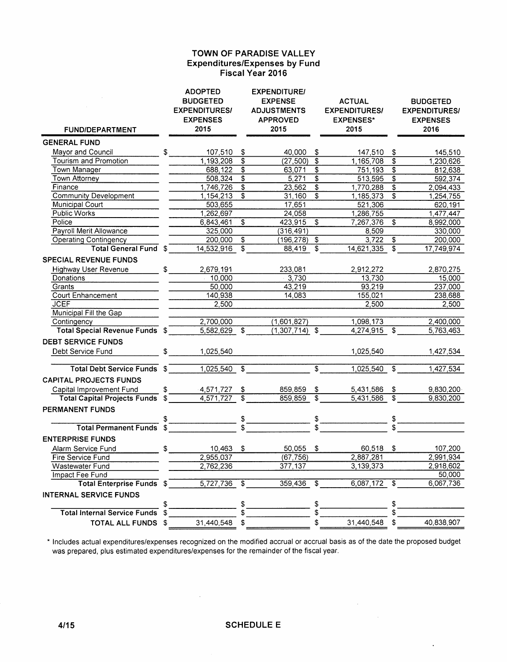### **TOWN OF PARADISE VALLEY Expenditures/Expenses by Fund Fiscal Year 2016**

| <b>FUND/DEPARTMENT</b>                |    | <b>ADOPTED</b><br><b>BUDGETED</b><br><b>EXPENDITURES/</b><br><b>EXPENSES</b><br>2015 |                           | <b>EXPENDITURE/</b><br><b>EXPENSE</b><br><b>ADJUSTMENTS</b><br><b>APPROVED</b><br>2015 |                           | <b>ACTUAL</b><br><b>EXPENDITURES/</b><br><b>EXPENSES*</b><br>2015 |                                        | <b>BUDGETED</b><br><b>EXPENDITURES/</b><br><b>EXPENSES</b><br>2016 |
|---------------------------------------|----|--------------------------------------------------------------------------------------|---------------------------|----------------------------------------------------------------------------------------|---------------------------|-------------------------------------------------------------------|----------------------------------------|--------------------------------------------------------------------|
| <b>GENERAL FUND</b>                   |    |                                                                                      |                           |                                                                                        |                           |                                                                   |                                        |                                                                    |
| Mayor and Council                     | \$ | 107,510                                                                              | \$                        | 40,000                                                                                 | \$                        | 147,510                                                           | \$                                     | 145,510                                                            |
| <b>Tourism and Promotion</b>          |    | 1,193,208                                                                            | \$                        | (27, 500)                                                                              | \$                        | 1,165,708                                                         | $\overline{\boldsymbol{\mathfrak{s}}}$ | 1,230,626                                                          |
| Town Manager                          |    | 688,122                                                                              | \$                        | 63,071                                                                                 | \$                        | 751,193                                                           | \$                                     | 812,638                                                            |
| <b>Town Attorney</b>                  |    | 508,324                                                                              | $\overline{\mathfrak{s}}$ | 5,271                                                                                  | $\overline{\mathfrak{s}}$ | 513,595                                                           | $\overline{\mathfrak{s}}$              | 592,374                                                            |
| Finance                               |    | 1,746,726                                                                            | \$                        | 23,562                                                                                 | \$                        | 1,770,288                                                         | $\overline{\$}$                        | 2,094,433                                                          |
| <b>Community Development</b>          |    | 1, 154, 213                                                                          | \$                        | 31,160                                                                                 | \$                        | 1,185,373                                                         | \$                                     | 1,254,755                                                          |
| <b>Municipal Court</b>                |    | 503,655                                                                              |                           | 17,651                                                                                 |                           | 521,306                                                           |                                        | 620,191                                                            |
| Public Works                          |    | 1,262,697                                                                            |                           | 24,058                                                                                 |                           | 1,286,755                                                         |                                        | 1,477,447                                                          |
| Police                                |    | 6,843,461                                                                            | \$                        | 423,915                                                                                | \$                        | 7,267,376                                                         | $\overline{\mathfrak{s}}$              | 8,992,000                                                          |
| Payroll Merit Allowance               |    | 325,000                                                                              |                           | (316, 491)                                                                             |                           | 8,509                                                             |                                        | 330,000                                                            |
| <b>Operating Contingency</b>          |    | 200,000                                                                              | \$                        | (196,278)                                                                              | \$                        | 3,722                                                             | \$                                     | 200,000                                                            |
| <b>Total General Fund</b>             | £  | 14,532,916                                                                           | $\overline{\$}$           | 88,419                                                                                 | $\overline{\mathcal{S}}$  | 14,621,335                                                        | $\overline{\mathfrak{s}}$              | 17,749,974                                                         |
| <b>SPECIAL REVENUE FUNDS</b>          |    |                                                                                      |                           |                                                                                        |                           |                                                                   |                                        |                                                                    |
| <b>Highway User Revenue</b>           | \$ | 2,679,191                                                                            |                           | 233,081                                                                                |                           | 2,912,272                                                         |                                        | 2,870,275                                                          |
| Donations                             |    | 10,000                                                                               |                           | $-3,730$                                                                               |                           | 13,730                                                            |                                        | 15,000                                                             |
| Grants                                |    | 50,000                                                                               |                           | 43,219                                                                                 |                           | 93,219                                                            |                                        | 237,000                                                            |
| <b>Court Enhancement</b>              |    | 140,938                                                                              |                           | 14,083                                                                                 |                           | 155,021                                                           |                                        | 238,688                                                            |
| <b>JCEF</b>                           |    | 2,500                                                                                |                           |                                                                                        |                           | 2,500                                                             |                                        | 2,500                                                              |
| Municipal Fill the Gap                |    |                                                                                      |                           |                                                                                        |                           |                                                                   |                                        |                                                                    |
| Contingency                           |    | 2,700,000                                                                            |                           | (1,601,827)                                                                            |                           | 1,098,173                                                         |                                        | 2,400,000                                                          |
| <b>Total Special Revenue Funds \$</b> |    | $5,582,629$ \$                                                                       |                           | $(1,307,714)$ \$                                                                       |                           | 4,274,915                                                         | $\overline{\mathfrak{s}}$              | 5,763,463                                                          |
| <b>DEBT SERVICE FUNDS</b>             |    |                                                                                      |                           |                                                                                        |                           |                                                                   |                                        |                                                                    |
| Debt Service Fund                     | \$ | 1,025,540                                                                            |                           |                                                                                        |                           | 1,025,540                                                         |                                        | 1,427,534                                                          |
|                                       |    |                                                                                      |                           |                                                                                        |                           |                                                                   |                                        |                                                                    |
| <b>Total Debt Service Funds</b>       | \$ | 1,025,540                                                                            | \$                        |                                                                                        | \$                        | 1,025,540                                                         | $\mathfrak{S}$                         | 1,427,534                                                          |
| <b>CAPITAL PROJECTS FUNDS</b>         |    |                                                                                      |                           |                                                                                        |                           |                                                                   |                                        |                                                                    |
| Capital Improvement Fund              | \$ | 4,571,727                                                                            | \$                        | 859,859                                                                                | \$                        | 5,431,586                                                         | \$                                     | 9,830,200                                                          |
| <b>Total Capital Projects Funds</b>   | \$ | 4,571,727                                                                            | $\overline{\$}$           | 859,859                                                                                | \$                        | 5,431,586                                                         | $\overline{\mathfrak{s}}$              | 9,830,200                                                          |
| <b>PERMANENT FUNDS</b>                |    |                                                                                      |                           |                                                                                        |                           |                                                                   |                                        |                                                                    |
|                                       |    |                                                                                      | \$                        |                                                                                        | \$                        |                                                                   | $\boldsymbol{\$}$                      |                                                                    |
| <b>Total Permanent Funds</b>          |    |                                                                                      |                           |                                                                                        |                           |                                                                   | \$                                     |                                                                    |
| <b>ENTERPRISE FUNDS</b>               |    |                                                                                      |                           |                                                                                        |                           |                                                                   |                                        |                                                                    |
| Alarm Service Fund                    | \$ | 10,463                                                                               | \$                        | 50,055                                                                                 | \$                        | 60.518 \$                                                         |                                        | 107,200                                                            |
| Fire Service Fund                     |    | 2,955,037                                                                            |                           | (67, 756)                                                                              |                           | 2,887,281                                                         |                                        | 2,991,934                                                          |
| Wastewater Fund                       |    | 2,762,236                                                                            |                           | 377,137                                                                                |                           | 3,139,373                                                         |                                        | 2,918,602                                                          |
| Impact Fee Fund                       |    |                                                                                      |                           |                                                                                        |                           |                                                                   |                                        | 50,000                                                             |
| <b>Total Enterprise Funds</b>         | \$ | 5,727,736                                                                            | \$                        | 359,436                                                                                | \$                        | 6,087,172                                                         | \$                                     | 6,067,736                                                          |
| <b>INTERNAL SERVICE FUNDS</b>         |    |                                                                                      |                           |                                                                                        |                           |                                                                   |                                        |                                                                    |
|                                       | \$ |                                                                                      | \$                        |                                                                                        | \$                        |                                                                   | \$                                     |                                                                    |
| <b>Total Internal Service Funds</b>   | \$ |                                                                                      | S                         |                                                                                        | \$                        |                                                                   | \$                                     |                                                                    |
| <b>TOTAL ALL FUNDS</b>                | \$ | 31,440,548                                                                           | \$                        |                                                                                        | \$                        | 31,440,548                                                        | \$                                     | 40,838,907                                                         |
|                                       |    |                                                                                      |                           |                                                                                        |                           |                                                                   |                                        |                                                                    |

\* Includes actual expenditures/expenses recognized on the modified accrual or accrual basis as of the date the proposed budget was prepared, plus estimated expenditures/expenses for the remainder of the fiscal year.

 $\sim 10^{-10}$ 

 $\sim 10^7$ 

 $\ddot{\phantom{0}}$ 

 $\sim 10^{-1}$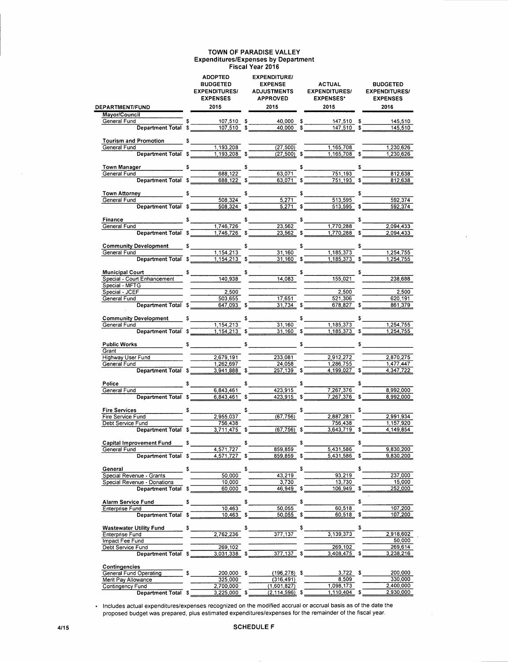#### TOWN OF PARADISE VALLEY Expenditures/Expenses by Department Fiscal Year 2016

| <b>DEPARTMENT/FUND</b>                                                                                                                                                                                                                                                                                                                                                                                                                    | <b>ADOPTED</b><br><b>BUDGETED</b><br><b>EXPENDITURES/</b><br><b>EXPENSES</b><br>2015 | <b>EXPENDITURE/</b><br><b>EXPENSE</b><br><b>ADJUSTMENTS</b><br><b>APPROVED</b><br>2015 |    | <b>ACTUAL</b><br><b>EXPENDITURES/</b><br><b>EXPENSES*</b><br>2015 |    | <b>BUDGETED</b><br><b>EXPENDITURES/</b><br><b>EXPENSES</b><br>2016 |
|-------------------------------------------------------------------------------------------------------------------------------------------------------------------------------------------------------------------------------------------------------------------------------------------------------------------------------------------------------------------------------------------------------------------------------------------|--------------------------------------------------------------------------------------|----------------------------------------------------------------------------------------|----|-------------------------------------------------------------------|----|--------------------------------------------------------------------|
| Mayor/Council                                                                                                                                                                                                                                                                                                                                                                                                                             |                                                                                      |                                                                                        |    |                                                                   |    |                                                                    |
| General Fund                                                                                                                                                                                                                                                                                                                                                                                                                              | 107,510 \$                                                                           | 40,000 \$                                                                              |    | 147,510 \$                                                        |    | 145,510                                                            |
| Department Total \$                                                                                                                                                                                                                                                                                                                                                                                                                       | $\frac{107,510}{9}$ \$                                                               | $40,000$ \$                                                                            |    | $\frac{147,510}{8}$                                               |    | 145,510                                                            |
| Tourism and Promotion \$                                                                                                                                                                                                                                                                                                                                                                                                                  |                                                                                      |                                                                                        |    |                                                                   |    |                                                                    |
| General Fund                                                                                                                                                                                                                                                                                                                                                                                                                              | 1,193,208                                                                            | (27, 500)                                                                              |    | 1,165,708                                                         |    | 1,230,626                                                          |
| Department Total \$                                                                                                                                                                                                                                                                                                                                                                                                                       | $1,193,208$ \$                                                                       | $(27,500)$ \$                                                                          |    | 1,165,708 \$                                                      |    | 1,230,626                                                          |
| Town Manager                                                                                                                                                                                                                                                                                                                                                                                                                              | $\frac{1}{\sqrt{2}}$                                                                 | \$                                                                                     |    |                                                                   |    |                                                                    |
| General Fund                                                                                                                                                                                                                                                                                                                                                                                                                              | 688,122                                                                              | 63,071                                                                                 |    | 751,193                                                           |    | 812,638                                                            |
| Department Total \$                                                                                                                                                                                                                                                                                                                                                                                                                       | 688,122 \$                                                                           | $63,071$ \$                                                                            |    | 751,193 \$                                                        |    | 812,638                                                            |
|                                                                                                                                                                                                                                                                                                                                                                                                                                           |                                                                                      |                                                                                        |    |                                                                   |    |                                                                    |
| Town Attorney \$                                                                                                                                                                                                                                                                                                                                                                                                                          | 508,324                                                                              | $\frac{1}{\sqrt{5,271}}$                                                               | \$ | $\frac{1}{513,595}$                                               | \$ | 592,374                                                            |
| General Fund<br>Department Total \$                                                                                                                                                                                                                                                                                                                                                                                                       | 508,324                                                                              | 5,271                                                                                  |    | 513,595                                                           |    | 592,374                                                            |
|                                                                                                                                                                                                                                                                                                                                                                                                                                           |                                                                                      |                                                                                        |    |                                                                   |    |                                                                    |
| Finance<br>$rac{1}{\sqrt{1-\frac{3}{2}}}\frac{1}{\sqrt{1-\frac{3}{2}}}\frac{1}{\sqrt{1-\frac{3}{2}}}\frac{1}{\sqrt{1-\frac{3}{2}}}\frac{1}{\sqrt{1-\frac{3}{2}}}\frac{1}{\sqrt{1-\frac{3}{2}}}\frac{1}{\sqrt{1-\frac{3}{2}}}\frac{1}{\sqrt{1-\frac{3}{2}}}\frac{1}{\sqrt{1-\frac{3}{2}}}\frac{1}{\sqrt{1-\frac{3}{2}}}\frac{1}{\sqrt{1-\frac{3}{2}}}\frac{1}{\sqrt{1-\frac{3}{2}}}\frac{1}{\sqrt{1-\frac{3}{2}}}\frac{1}{\sqrt{1-\frac{3$ |                                                                                      |                                                                                        | \$ |                                                                   |    |                                                                    |
| General Fund                                                                                                                                                                                                                                                                                                                                                                                                                              | 1,746,726                                                                            | $\frac{23,562}{ }$                                                                     |    | 1,770,288                                                         |    | 2,094,433                                                          |
| Department Total \$                                                                                                                                                                                                                                                                                                                                                                                                                       | 1,746,726 \$                                                                         | $23,562$ \$                                                                            |    | 1,770,288 \$                                                      |    | 2,094,433                                                          |
| Community Development \$                                                                                                                                                                                                                                                                                                                                                                                                                  |                                                                                      |                                                                                        |    |                                                                   |    |                                                                    |
| General Fund                                                                                                                                                                                                                                                                                                                                                                                                                              | 1,154,213                                                                            | 31,160                                                                                 |    | 1,185,373                                                         |    | 1,254,755                                                          |
| Department Total \$                                                                                                                                                                                                                                                                                                                                                                                                                       | 1.154.213                                                                            | $31.160$ \$                                                                            |    | 1,185,373                                                         |    | 1,254,755                                                          |
|                                                                                                                                                                                                                                                                                                                                                                                                                                           |                                                                                      |                                                                                        |    |                                                                   |    |                                                                    |
| Municipal Court<br>Special - Court Enhancement<br>140,938                                                                                                                                                                                                                                                                                                                                                                                 |                                                                                      | $\frac{1}{2}$                                                                          |    |                                                                   |    |                                                                    |
|                                                                                                                                                                                                                                                                                                                                                                                                                                           |                                                                                      | 14.083                                                                                 |    | 155,021                                                           |    | 238,688                                                            |
| Special - MFTG<br>Special - JCEF                                                                                                                                                                                                                                                                                                                                                                                                          | 2.500                                                                                |                                                                                        |    | 2,500                                                             |    | 2,500                                                              |
| General Fund                                                                                                                                                                                                                                                                                                                                                                                                                              | 503,655                                                                              | 17,651                                                                                 |    | 521,306                                                           |    | 620.191                                                            |
| Department Total \$                                                                                                                                                                                                                                                                                                                                                                                                                       | 647,093 \$                                                                           | $31,734$ \$                                                                            |    | 678,827                                                           |    | 861,379                                                            |
|                                                                                                                                                                                                                                                                                                                                                                                                                                           |                                                                                      |                                                                                        |    |                                                                   |    |                                                                    |
| Community Development \$                                                                                                                                                                                                                                                                                                                                                                                                                  |                                                                                      | $\sim$                                                                                 | \$ |                                                                   | \$ |                                                                    |
| General Fund                                                                                                                                                                                                                                                                                                                                                                                                                              | 1,154,213                                                                            | 31,160                                                                                 |    | 1,185,373                                                         |    | 1,254,755                                                          |
| Department Total \$                                                                                                                                                                                                                                                                                                                                                                                                                       | 1,154,213                                                                            | \$<br>31,160                                                                           | \$ | $1,185,373$ \$                                                    |    | 1.254,755                                                          |
| Public Works <b>5</b>                                                                                                                                                                                                                                                                                                                                                                                                                     |                                                                                      | $\sim$ $\sim$ $\sim$ $\sim$ $\sim$                                                     |    |                                                                   | \$ |                                                                    |
| Grant                                                                                                                                                                                                                                                                                                                                                                                                                                     |                                                                                      |                                                                                        |    |                                                                   |    |                                                                    |
| Highway User Fund                                                                                                                                                                                                                                                                                                                                                                                                                         | 2,679,191                                                                            | 233,081                                                                                |    | 2,912,272                                                         |    | 2,870,275                                                          |
| General Fund                                                                                                                                                                                                                                                                                                                                                                                                                              | 1,262,697                                                                            | 24,058                                                                                 |    | 1,286,755                                                         |    | 1,477,447                                                          |
| Department Total \$                                                                                                                                                                                                                                                                                                                                                                                                                       | $3,941,888$ \$                                                                       | $257,139$ \$                                                                           |    | $4,199,027$ \$                                                    |    | 4,347,722                                                          |
| Police                                                                                                                                                                                                                                                                                                                                                                                                                                    |                                                                                      |                                                                                        | \$ |                                                                   | \$ |                                                                    |
| General Fund                                                                                                                                                                                                                                                                                                                                                                                                                              | $\sim$<br>6,843,461                                                                  | s<br>423,915                                                                           |    | 7,267,376                                                         |    | 8,992,000                                                          |
|                                                                                                                                                                                                                                                                                                                                                                                                                                           | Department Total \$ 6,843,461                                                        | 423,915                                                                                | \$ | 7.267.376                                                         |    | 8,992,000                                                          |
|                                                                                                                                                                                                                                                                                                                                                                                                                                           |                                                                                      |                                                                                        |    |                                                                   |    |                                                                    |
| <b>Fire Services</b>                                                                                                                                                                                                                                                                                                                                                                                                                      | \$                                                                                   | \$                                                                                     | \$ |                                                                   |    |                                                                    |
| Fire Service Fund                                                                                                                                                                                                                                                                                                                                                                                                                         | 2,955,037                                                                            | (67, 756)                                                                              |    | 2,887,281                                                         |    | 2,991,934                                                          |
| Debt Service Fund<br>Department Total \$                                                                                                                                                                                                                                                                                                                                                                                                  | 756,438<br>3,711,475                                                                 | (67, 756)                                                                              |    | 756,438<br>3,643,719                                              |    | 1,157,920<br>4.149.854                                             |
|                                                                                                                                                                                                                                                                                                                                                                                                                                           |                                                                                      |                                                                                        |    |                                                                   |    |                                                                    |
| Capital Improvement Fund                                                                                                                                                                                                                                                                                                                                                                                                                  | \$                                                                                   | \$                                                                                     | \$ |                                                                   | S  |                                                                    |
| General Fund                                                                                                                                                                                                                                                                                                                                                                                                                              | 4,571,727                                                                            | 859,859                                                                                |    | 5,431,586                                                         |    | 9,830,200                                                          |
| Department Total \$                                                                                                                                                                                                                                                                                                                                                                                                                       | 4,571,727                                                                            | 859,859                                                                                | S  | 5,431,586                                                         | S  | 9,830,200                                                          |
| General                                                                                                                                                                                                                                                                                                                                                                                                                                   | \$                                                                                   | \$                                                                                     | \$ |                                                                   | \$ |                                                                    |
| Special Revenue - Grants                                                                                                                                                                                                                                                                                                                                                                                                                  | 50.000                                                                               | 43.219                                                                                 |    | 93,219                                                            |    | 237,000                                                            |
| Special Revenue - Donations                                                                                                                                                                                                                                                                                                                                                                                                               | 10,000                                                                               | 3,730                                                                                  |    | 13,730                                                            |    | 15,000                                                             |
| <b>Department Total</b>                                                                                                                                                                                                                                                                                                                                                                                                                   | 60,000<br>\$                                                                         | \$<br>46,949                                                                           | \$ | 106,949                                                           | \$ | 252,000                                                            |
|                                                                                                                                                                                                                                                                                                                                                                                                                                           |                                                                                      |                                                                                        |    |                                                                   |    |                                                                    |
| <b>Alarm Service Fund</b><br>Enterprise Fund                                                                                                                                                                                                                                                                                                                                                                                              | \$<br>10,463                                                                         | 50,055                                                                                 |    | 60,518                                                            | \$ | 107,200                                                            |
| <b>Department Total</b>                                                                                                                                                                                                                                                                                                                                                                                                                   | 10,463<br>\$                                                                         | 50.055                                                                                 | \$ | 60,518                                                            |    | 107.200                                                            |
|                                                                                                                                                                                                                                                                                                                                                                                                                                           |                                                                                      |                                                                                        |    |                                                                   |    |                                                                    |
| <b>Wastewater Utility Fund</b>                                                                                                                                                                                                                                                                                                                                                                                                            | \$                                                                                   | \$                                                                                     | \$ |                                                                   |    |                                                                    |
| Enterprise Fund                                                                                                                                                                                                                                                                                                                                                                                                                           | 2,762,236                                                                            | 377.137                                                                                |    | 3,139,373                                                         |    | 2,918,602                                                          |
| Impact Fee Fund                                                                                                                                                                                                                                                                                                                                                                                                                           |                                                                                      |                                                                                        |    | 269,102                                                           |    | 50,000<br>269,614                                                  |
| Debt Service Fund<br>Department Total \$                                                                                                                                                                                                                                                                                                                                                                                                  | 269,102<br>3,031,338                                                                 | 377.137                                                                                | \$ | 3,408,475                                                         |    | 3,238,216                                                          |
|                                                                                                                                                                                                                                                                                                                                                                                                                                           |                                                                                      |                                                                                        |    |                                                                   |    |                                                                    |
| <b>Contingencies</b>                                                                                                                                                                                                                                                                                                                                                                                                                      |                                                                                      |                                                                                        |    |                                                                   |    |                                                                    |
| General Fund Operating                                                                                                                                                                                                                                                                                                                                                                                                                    | 200,000 \$                                                                           | (196,278) \$                                                                           |    | $3,722$ \$                                                        |    | 200,000                                                            |
| Merit Pay Allowance                                                                                                                                                                                                                                                                                                                                                                                                                       | 325,000                                                                              | (316, 491)                                                                             |    | 8,509                                                             |    | 330,000                                                            |
| Contingency Fund<br><b>Department Total</b>                                                                                                                                                                                                                                                                                                                                                                                               | 2,700,000<br>3,225,000 \$<br>S                                                       | (1,601,827)<br>$(2, 114, 596)$ \$                                                      |    | 1,098,173<br>$1,110,404$ \$                                       |    | 2,400,000<br>2,930,000                                             |
|                                                                                                                                                                                                                                                                                                                                                                                                                                           |                                                                                      |                                                                                        |    |                                                                   |    |                                                                    |

\* Includes actual expenditures/expenses recognized on the modified accrual or accrual basis as of the date the proposed budget was prepared, plus estimated expenditures/expenses for the remainder of the fiscal year.

 $\bar{z}$